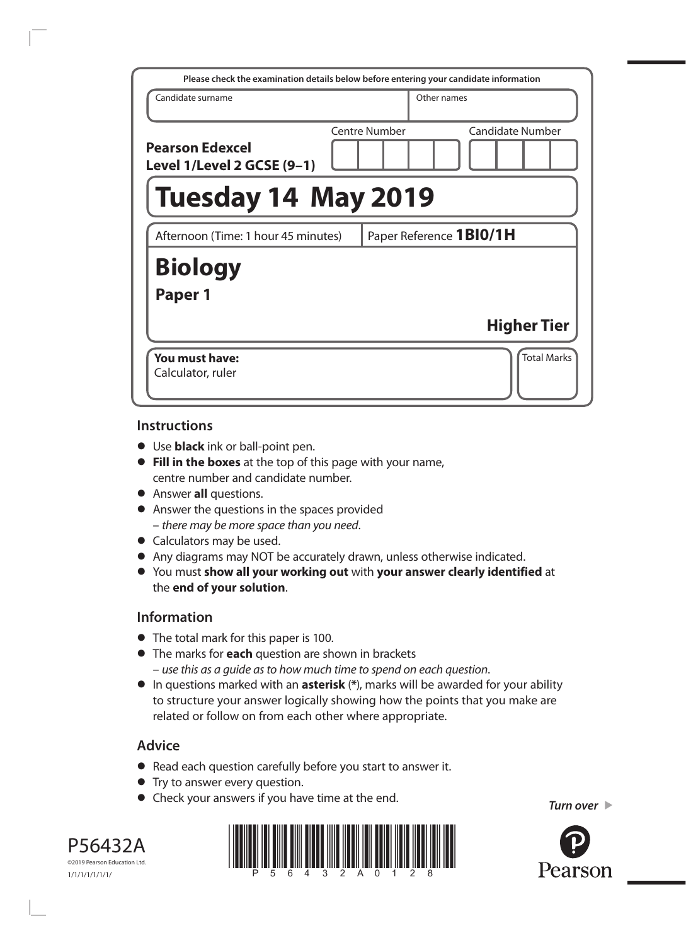|                                                      | Please check the examination details below before entering your candidate information |
|------------------------------------------------------|---------------------------------------------------------------------------------------|
| Candidate surname                                    | Other names                                                                           |
| <b>Pearson Edexcel</b><br>Level 1/Level 2 GCSE (9-1) | <b>Candidate Number</b><br>Centre Number                                              |
| <b>Tuesday 14 May 2019</b>                           |                                                                                       |
| Afternoon (Time: 1 hour 45 minutes)                  | Paper Reference 1BIO/1H                                                               |
| <b>Biology</b>                                       |                                                                                       |
| <b>Paper 1</b>                                       |                                                                                       |
|                                                      | <b>Higher Tier</b>                                                                    |
| You must have:<br>Calculator, ruler                  | <b>Total Marks</b>                                                                    |

#### **Instructions**

- **•** Use **black** ink or ball-point pen.
- **• Fill in the boxes** at the top of this page with your name, centre number and candidate number.
- **•** Answer **all** questions.
- **•** Answer the questions in the spaces provided – *there may be more space than you need*.
- **•** Calculators may be used.
- **•** Any diagrams may NOT be accurately drawn, unless otherwise indicated.
- **•** You must **show all your working out** with **your answer clearly identified** at the **end of your solution**.

# **Information**

- **•** The total mark for this paper is 100.
- **•** The marks for **each** question are shown in brackets – *use this as a guide as to how much time to spend on each question*.
- **•** In questions marked with an **asterisk** (**\***), marks will be awarded for your ability to structure your answer logically showing how the points that you make are related or follow on from each other where appropriate.

# **Advice**

- **•** Read each question carefully before you start to answer it.
- **•** Try to answer every question.
- **•** Check your answers if you have time at the end.





*Turn over* 

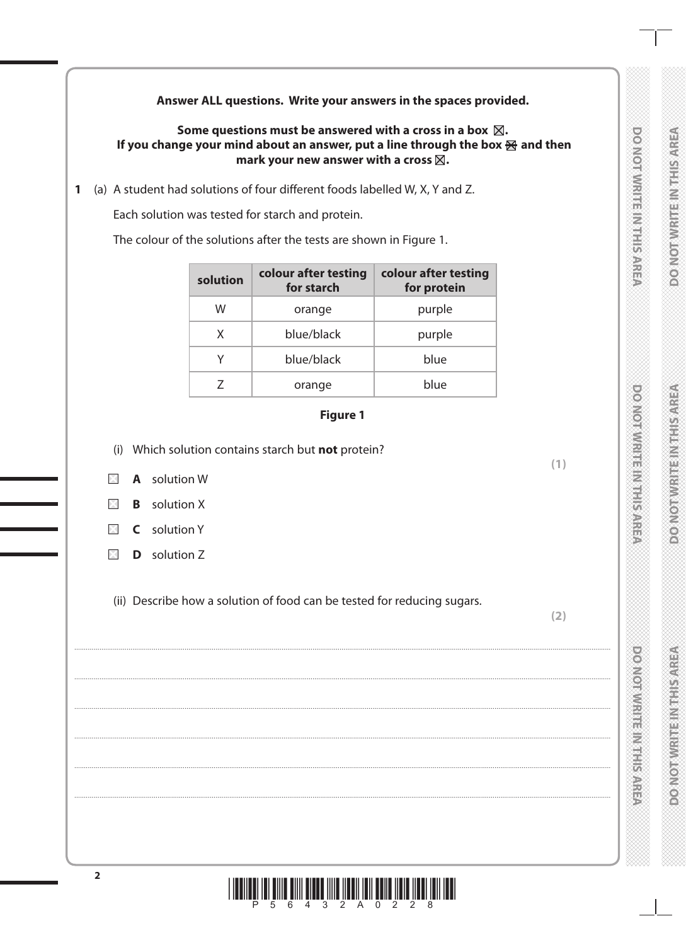**DO NOT WRITE IN THIS AREA** 

**DO NOTWRITE IN THE AREA** 

**DO NOT WRITE IN THIS AREA**

**DO NOT WRITE IN THIS AREA**

**DONORAN AREA NEWSPAPER** 

#### **Answer ALL questions. Write your answers in the spaces provided.**

#### Some questions must be answered with a cross in a box  $\boxtimes$ . If you change your mind about an answer, put a line through the box  $\mathbb{R}$  and then mark your new answer with a cross  $\boxtimes$ .

**1** (a) A student had solutions of four different foods labelled W, X, Y and Z.

Each solution was tested for starch and protein.

The colour of the solutions after the tests are shown in Figure 1.

| solution | colour after testing<br>for starch | colour after testing<br>for protein |
|----------|------------------------------------|-------------------------------------|
| W        | orange                             | purple                              |
| X        | blue/black                         | purple                              |
|          | blue/black                         | blue                                |
|          | orange                             | blue                                |



.....................................................................................................................................................................................................................................................................................

.....................................................................................................................................................................................................................................................................................

.....................................................................................................................................................................................................................................................................................

.....................................................................................................................................................................................................................................................................................

.....................................................................................................................................................................................................................................................................................

.....................................................................................................................................................................................................................................................................................

- (i) Which solution contains starch but **not** protein?
- 
- **A** solution W
- 
- **B** solution X
- **C** solution Y
- **D** solution Z

(ii) Describe how a solution of food can be tested for reducing sugars.

**(2)**

**(1)**

# 5 6 4 3 2 A 0 2 2 8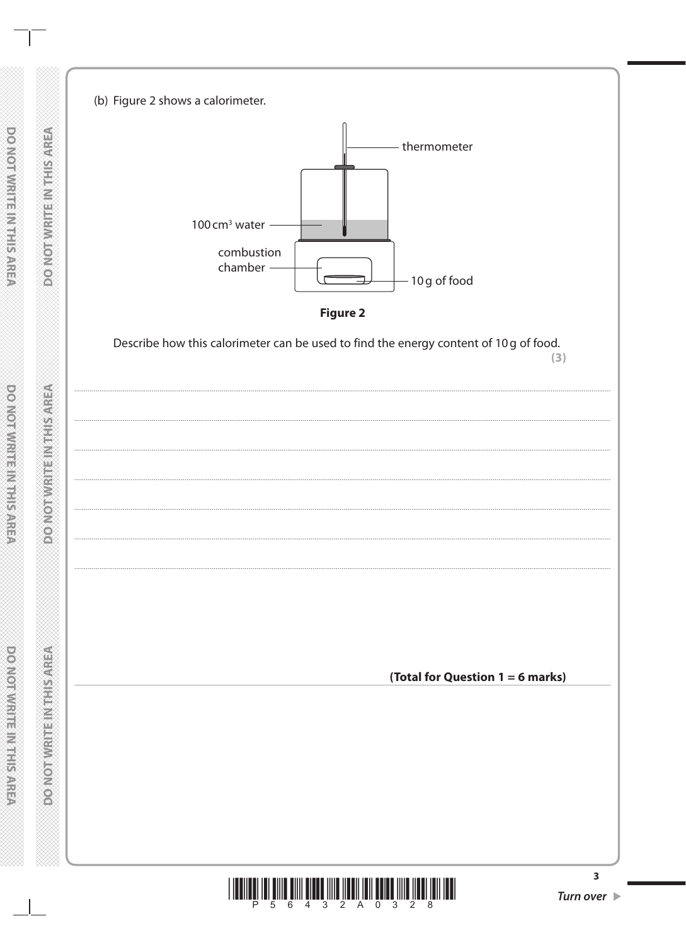

<u>hii ini imm inn imm imm inni ynn ymm inn imm inn mm</u>

IIII

**DO NOTWRITE IN THIS AREA** 

**DOMOIAWRITE WAREHOUTS** 

**DONORMENTE MIRISTREA**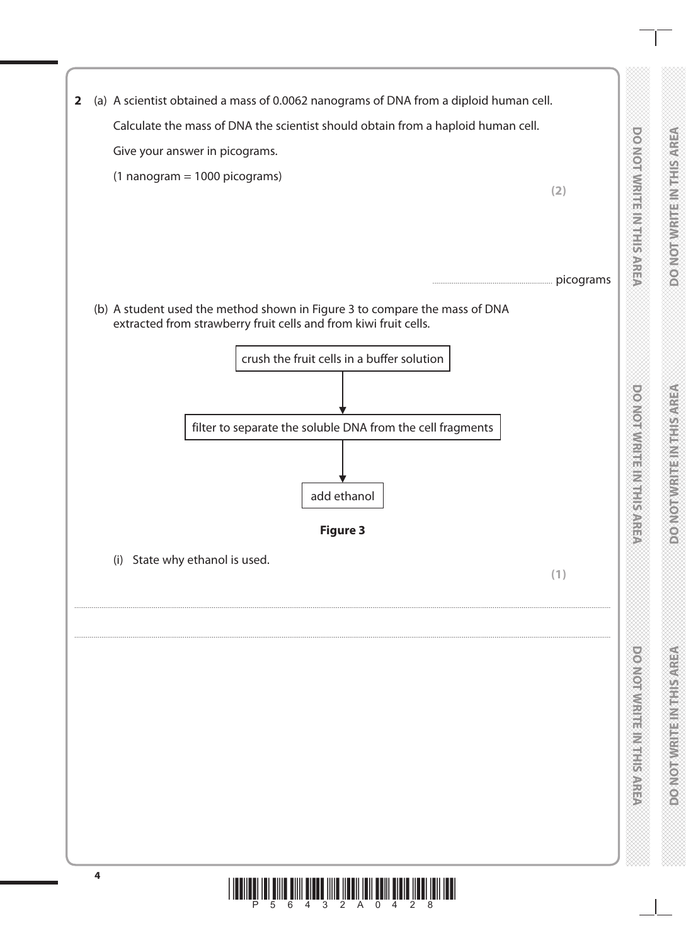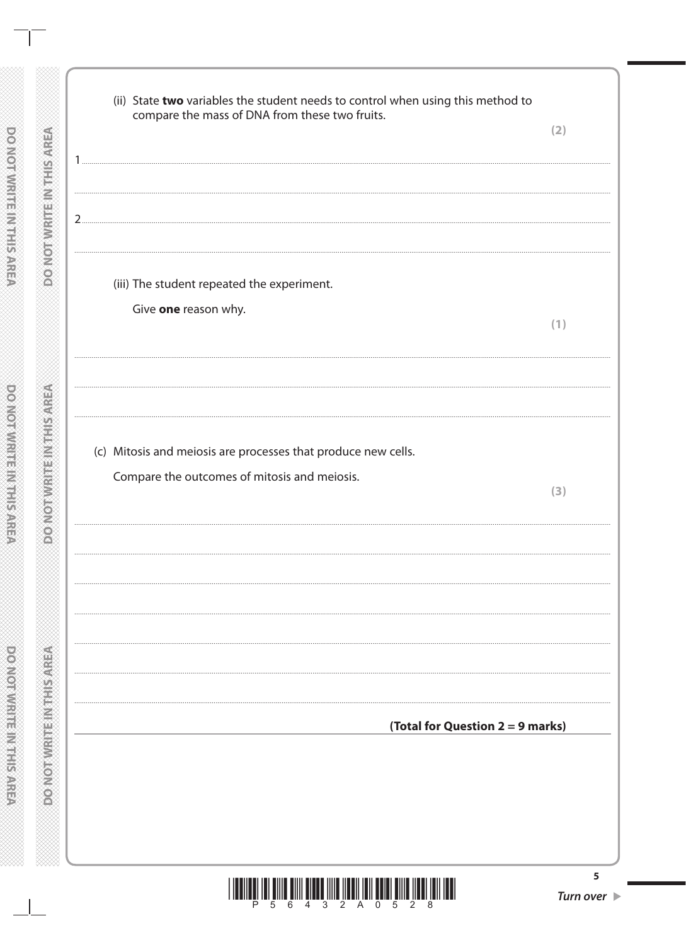**DO NOT WRITE IN THIS AREA** 

 $\mathbb{R}$ 

**DO NOTWRITEINING** 

**PONOTWRITEINTRISAREA** 

| (ii) State two variables the student needs to control when using this method to<br>compare the mass of DNA from these two fruits. | (2)              |
|-----------------------------------------------------------------------------------------------------------------------------------|------------------|
|                                                                                                                                   |                  |
|                                                                                                                                   |                  |
| $2$                                                                                                                               |                  |
| (iii) The student repeated the experiment.                                                                                        |                  |
| Give one reason why.                                                                                                              | (1)              |
|                                                                                                                                   |                  |
| (c) Mitosis and meiosis are processes that produce new cells.                                                                     |                  |
| Compare the outcomes of mitosis and meiosis.                                                                                      | (3)              |
|                                                                                                                                   |                  |
|                                                                                                                                   |                  |
|                                                                                                                                   |                  |
|                                                                                                                                   |                  |
| (Total for Question 2 = 9 marks)                                                                                                  |                  |
|                                                                                                                                   |                  |
|                                                                                                                                   |                  |
|                                                                                                                                   |                  |
|                                                                                                                                   | 5<br>Turn over 1 |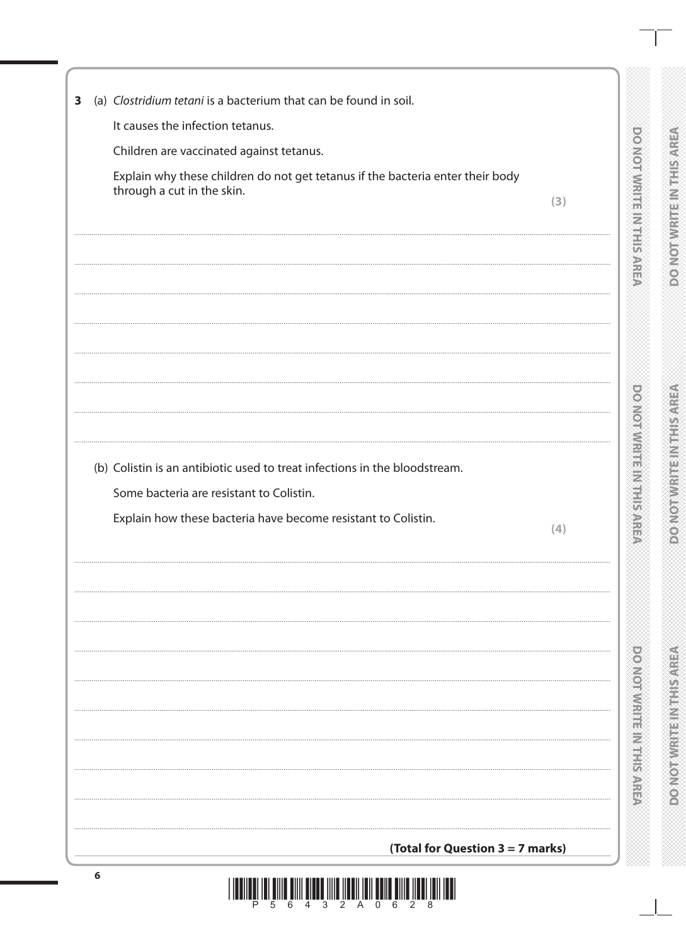| (a) Clostridium tetani is a bacterium that can be found in soil.<br>It causes the infection tetanus.                                                                                    |     |                                          |
|-----------------------------------------------------------------------------------------------------------------------------------------------------------------------------------------|-----|------------------------------------------|
| Children are vaccinated against tetanus.                                                                                                                                                |     |                                          |
| Explain why these children do not get tetanus if the bacteria enter their body<br>through a cut in the skin.                                                                            | (3) | <b>DO NOTAMENTE</b><br><b>MITHS HIME</b> |
| (b) Colistin is an antibiotic used to treat infections in the bloodstream.<br>Some bacteria are resistant to Colistin.<br>Explain how these bacteria have become resistant to Colistin. | 41  | <b>DOMOTOWN ENTERN</b>                   |
|                                                                                                                                                                                         |     | <b>Motolynamics</b>                      |
|                                                                                                                                                                                         |     |                                          |

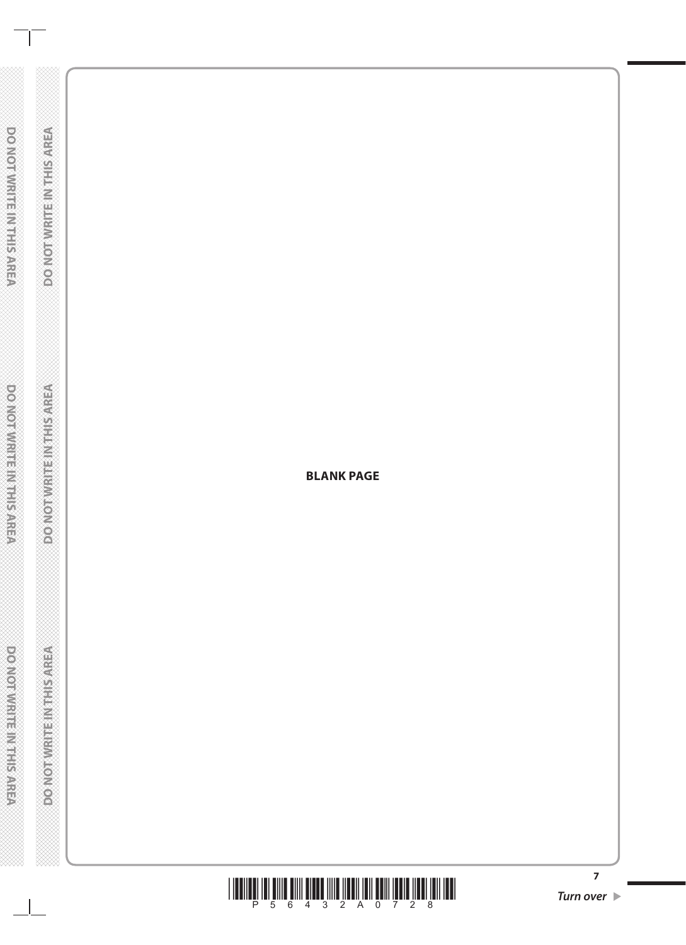|  |   | è             |  |  |  |
|--|---|---------------|--|--|--|
|  |   |               |  |  |  |
|  |   |               |  |  |  |
|  |   |               |  |  |  |
|  |   |               |  |  |  |
|  |   | Q             |  |  |  |
|  |   |               |  |  |  |
|  |   | $\frac{1}{2}$ |  |  |  |
|  |   |               |  |  |  |
|  |   |               |  |  |  |
|  |   |               |  |  |  |
|  |   |               |  |  |  |
|  |   |               |  |  |  |
|  |   |               |  |  |  |
|  |   |               |  |  |  |
|  | ₩ |               |  |  |  |
|  |   |               |  |  |  |
|  | š |               |  |  |  |
|  |   |               |  |  |  |
|  |   |               |  |  |  |
|  |   |               |  |  |  |
|  |   |               |  |  |  |
|  |   |               |  |  |  |
|  |   |               |  |  |  |
|  |   |               |  |  |  |
|  |   |               |  |  |  |
|  |   | esia<br>Di    |  |  |  |
|  |   |               |  |  |  |
|  |   |               |  |  |  |
|  |   |               |  |  |  |
|  |   |               |  |  |  |
|  |   | Ż             |  |  |  |
|  |   |               |  |  |  |
|  |   |               |  |  |  |
|  |   |               |  |  |  |
|  |   |               |  |  |  |
|  |   |               |  |  |  |
|  |   | ₩             |  |  |  |
|  |   |               |  |  |  |
|  |   |               |  |  |  |
|  |   |               |  |  |  |
|  |   |               |  |  |  |
|  |   | er<br>15      |  |  |  |
|  |   |               |  |  |  |
|  |   |               |  |  |  |
|  |   |               |  |  |  |
|  |   |               |  |  |  |
|  |   |               |  |  |  |
|  |   |               |  |  |  |
|  |   | X             |  |  |  |
|  |   |               |  |  |  |
|  |   |               |  |  |  |
|  |   | 吏             |  |  |  |
|  |   |               |  |  |  |
|  |   |               |  |  |  |
|  |   |               |  |  |  |
|  |   |               |  |  |  |
|  |   |               |  |  |  |
|  |   | Q)<br>P       |  |  |  |
|  |   |               |  |  |  |
|  |   |               |  |  |  |
|  |   |               |  |  |  |
|  |   |               |  |  |  |

**DO NOTWRITE IN THIS AREA** 

**DO NOT WRITE IN THIS AREA DO NOT WRITE IN THIS AREA DO NOT WRITE IN THIS AREA DONOTWRITEINTHSAREA** 

DO NOT WRITE IN THIS AREA

# **BLANK PAGE**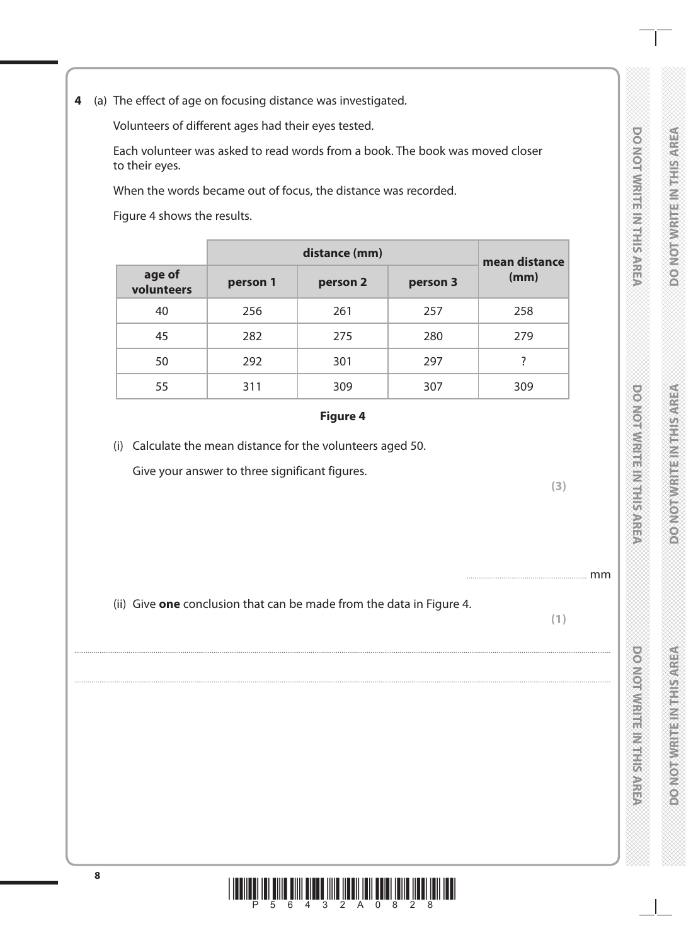**DO NOTWRITEINTH SAREA DO NOT WRITE IN THIS AREA DO NOT WRITE IN THIS AREA DO NOT WRITE IN THIS AREA**

**DO NOT WRITE IN THIS AREA** 

**DO NOIMMRITE INTHERAREA** 

**DOMORATE RESIDENCE** 

**DO NOT WRITE IN THIS AREA**

**DO NOT WRITE IN THIS AREA**

**PONDERN MEDIAN STREET STREET** 

**4** (a) The effect of age on focusing distance was investigated.

Volunteers of different ages had their eyes tested.

Each volunteer was asked to read words from a book. The book was moved closer to their eyes.

When the words became out of focus, the distance was recorded.

Figure 4 shows the results.

|                      |          | distance (mm) |          |                       |  |
|----------------------|----------|---------------|----------|-----------------------|--|
| age of<br>volunteers | person 1 | person 2      | person 3 | mean distance<br>(mm) |  |
| 40                   | 256      | 261           | 257      | 258                   |  |
| 45                   | 282      | 275           | 280      | 279                   |  |
| 50                   | 292      | 301           | 297      |                       |  |
| 55                   | 311      | 309           | 307      | 309                   |  |

#### **Figure 4**

.....................................................................................................................................................................................................................................................................................

.....................................................................................................................................................................................................................................................................................

(i) Calculate the mean distance for the volunteers aged 50.

Give your answer to three significant figures.

(ii) Give **one** conclusion that can be made from the data in Figure 4.

**(1)**

 $\ldots$  mm

**(3)**

\*P56432A0828\*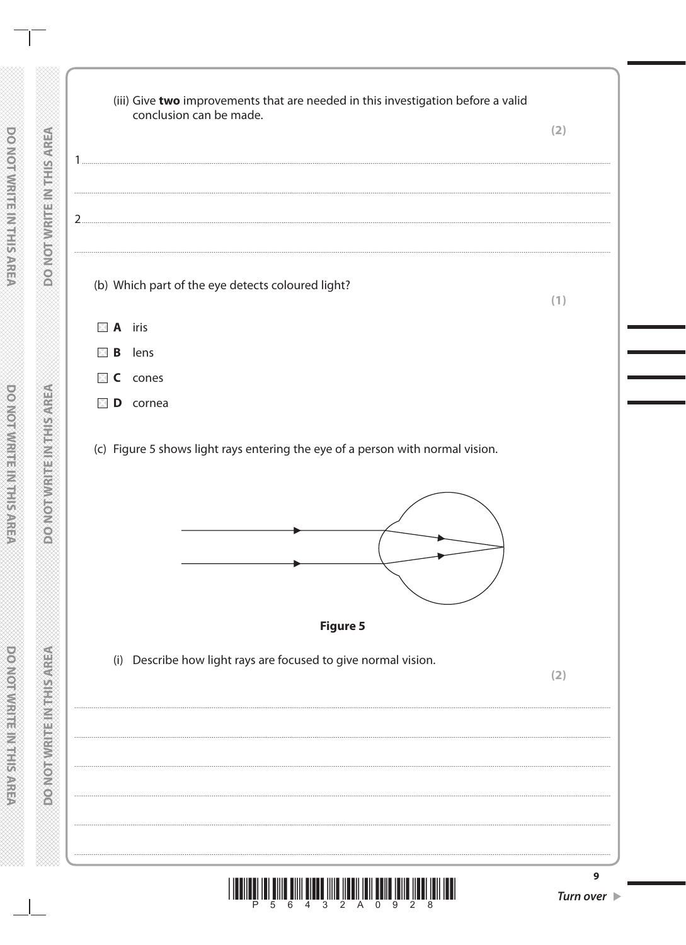



**DONOTWRITE IN THIS AREA** 

**DO NOTWRITE IN THIS AREA**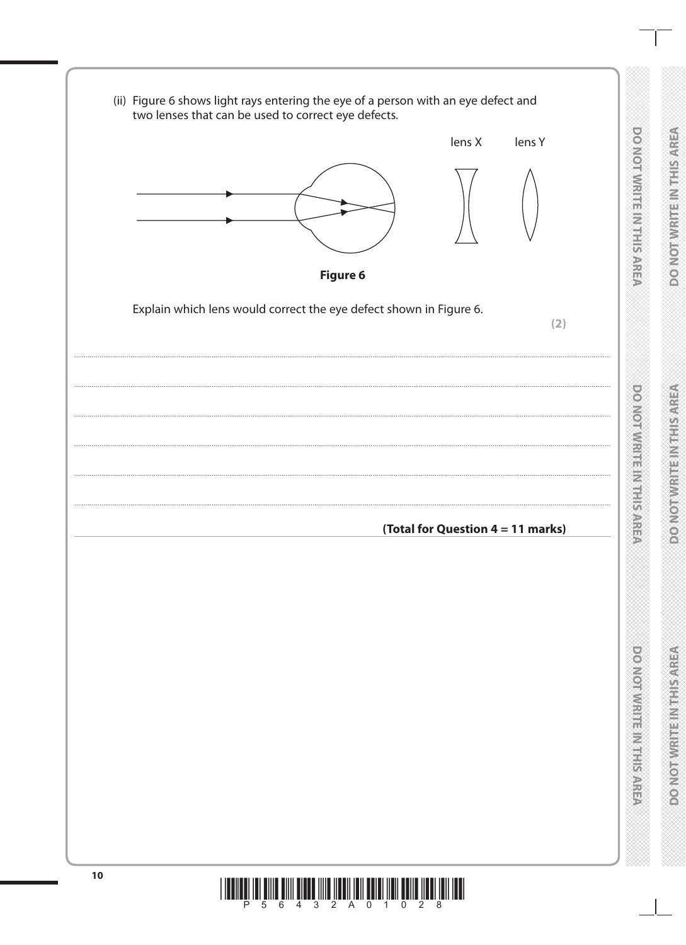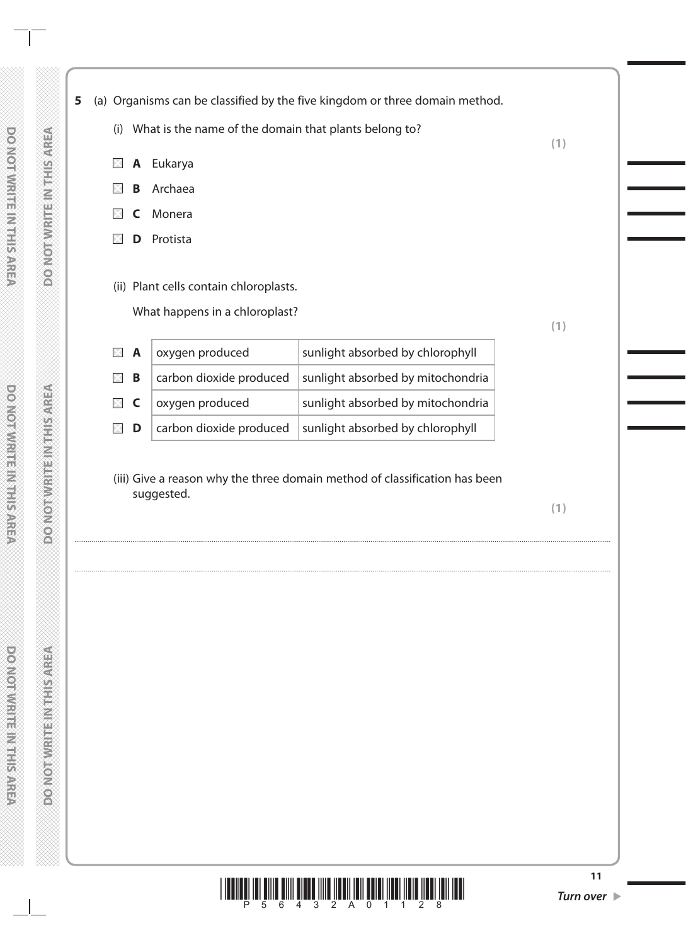| (i)         |              | What is the name of the domain that plants belong to? |                                                                            | (1) |
|-------------|--------------|-------------------------------------------------------|----------------------------------------------------------------------------|-----|
| $\times$    | A            | Eukarya                                               |                                                                            |     |
| $\boxtimes$ | B            | Archaea                                               |                                                                            |     |
| $\times$    | C            | Monera                                                |                                                                            |     |
| $\boxtimes$ | D            | Protista                                              |                                                                            |     |
|             |              | (ii) Plant cells contain chloroplasts.                |                                                                            |     |
|             |              | What happens in a chloroplast?                        |                                                                            | (1) |
| $\times$    | $\mathbf{A}$ | oxygen produced                                       | sunlight absorbed by chlorophyll                                           |     |
| $\boxtimes$ | B            | carbon dioxide produced                               | sunlight absorbed by mitochondria                                          |     |
| $\boxtimes$ | $\mathsf{C}$ | oxygen produced                                       | sunlight absorbed by mitochondria                                          |     |
| $\boxtimes$ | D            | carbon dioxide produced                               | sunlight absorbed by chlorophyll                                           |     |
|             |              | suggested.                                            | (iii) Give a reason why the three domain method of classification has been | (1) |
|             |              |                                                       |                                                                            |     |
|             |              |                                                       |                                                                            |     |
|             |              |                                                       |                                                                            |     |
|             |              |                                                       |                                                                            |     |
|             |              |                                                       |                                                                            |     |
|             |              |                                                       |                                                                            |     |
|             |              |                                                       |                                                                            |     |
|             |              |                                                       |                                                                            |     |

**DO NOT WRITE IN THIS AREA**

**DO NOT WRITE IN THIS AREA**

DO NOT WRITE IN THIS AREA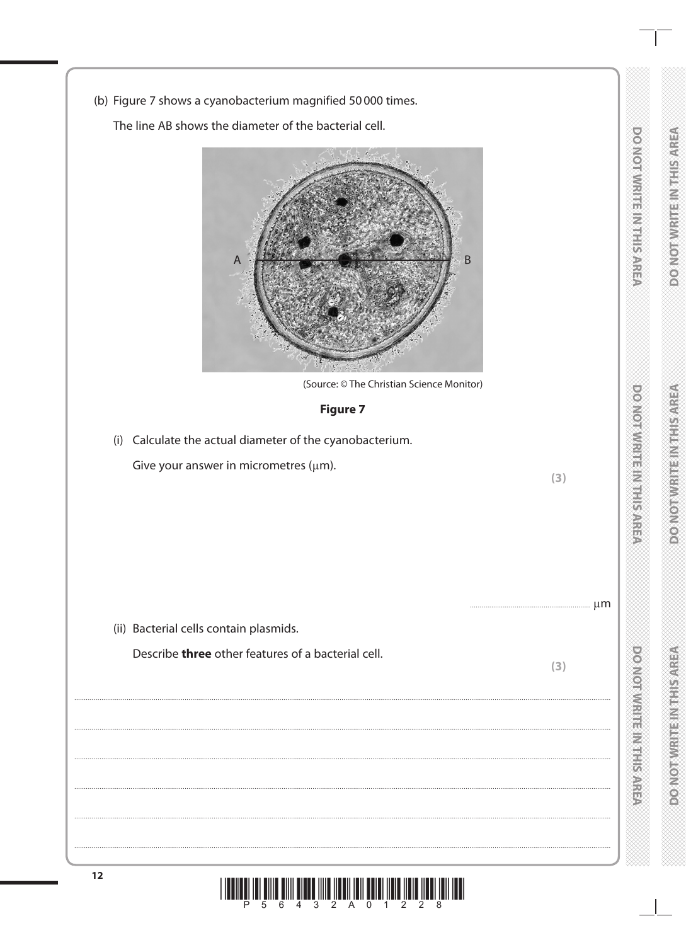$\overline{B}$ (Source: © The Christian Science Monitor) **Figure 7** (i) Calculate the actual diameter of the cyanobacterium. Give your answer in micrometres ( $\mu$ m).  $(3)$ (ii) Bacterial cells contain plasmids. Describe three other features of a bacterial cell.  $(3)$  **DONOINMRITE IN THE PRESS** 

**DO NOTWRITE INTHIS AREA** 

**PORTOR WEBSTANDING** 

**ROMORNIAN NEWSPAPE** 

Norwhere I are a New York and

**OMONWARTHSMARK** 

..... um

(b) Figure 7 shows a cyanobacterium magnified 50 000 times.

The line AB shows the diameter of the bacterial cell.

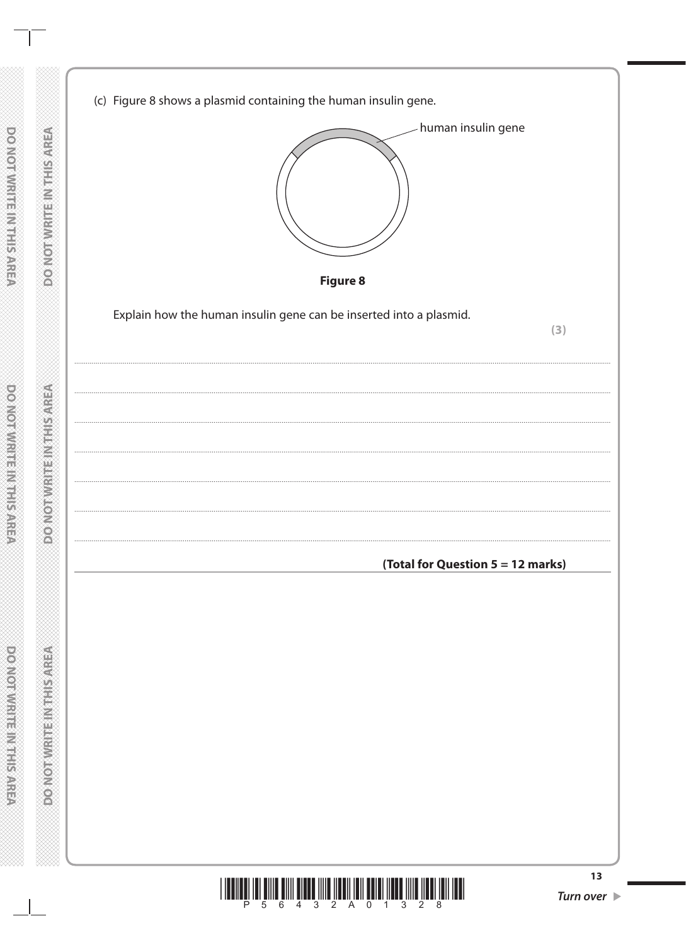

**DO NOTWRITE IN THIS AREA** 

**DONOINMENT PRISTRIAN** 

**DONORMENTE MIRISTREA**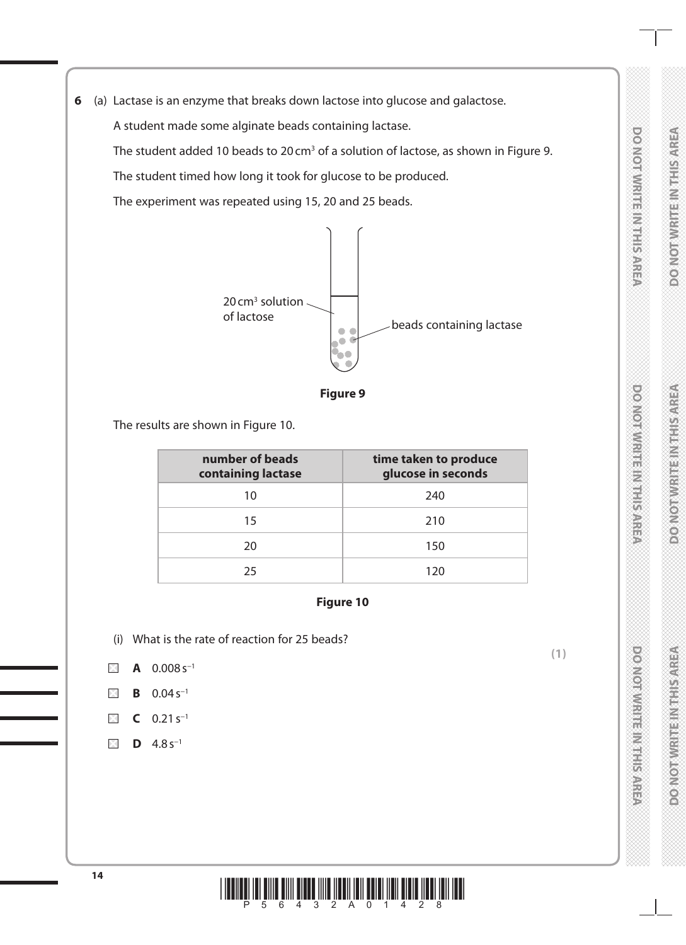**DO NOTWRITE INTHIS AREA DO NOT WRITE IN THIS AREA DO NOT WRITE IN THIS AREA DO NOT WRITE IN THIS AREA**

**DO NOT WRITE IN THIS AREA** 

**DO NOIMMRITE INTHERAREA** 

**DO NOT WRITE IN THIS AREA**

**DONNO NATIONAL CARE PRESSED** 

**DO NOT WRITE IN THIS AREA**

**DONOTHING TELEVISIONS** 

**(1)**

**6** (a) Lactase is an enzyme that breaks down lactose into glucose and galactose.

A student made some alginate beads containing lactase.

The student added 10 beads to 20 cm $^{\rm 3}$  of a solution of lactose, as shown in Figure 9.

The student timed how long it took for glucose to be produced.

The experiment was repeated using 15, 20 and 25 beads.





The results are shown in Figure 10.

| number of beads    | time taken to produce |
|--------------------|-----------------------|
| containing lactase | glucose in seconds    |
| 10                 | 240                   |
| 15                 | 210                   |
| 20                 | 150                   |
| 25                 | 120                   |

**Figure 10**

- (i) What is the rate of reaction for 25 beads?
- **A** 0.008s−1
- **B** 0.04s−1
- **C** 0.21s−1
- **D** 4.8s−1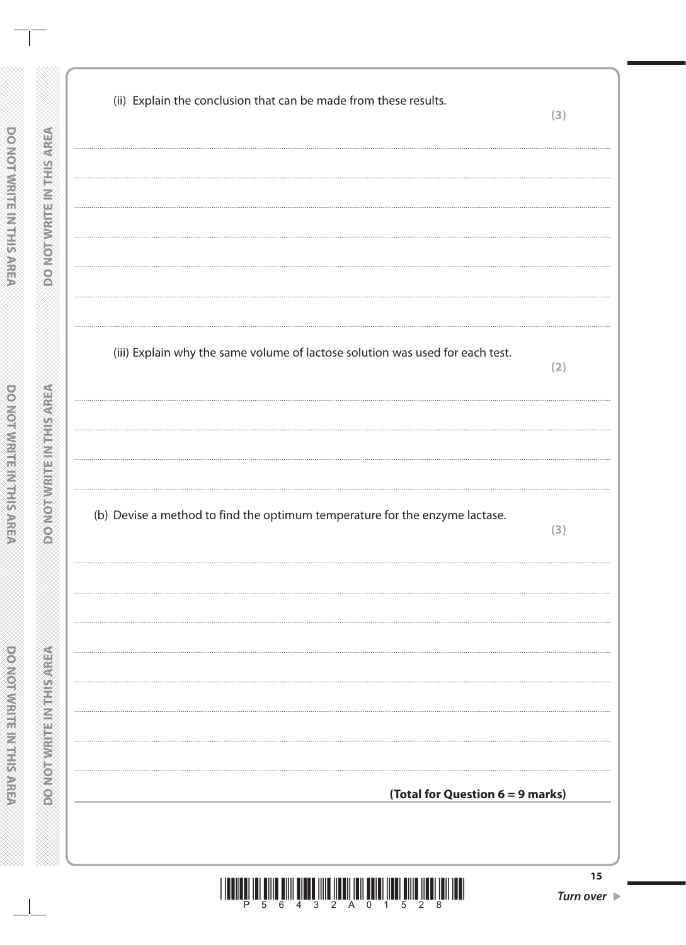| (iii) Explain why the same volume of lactose solution was used for each test. | (2) |
|-------------------------------------------------------------------------------|-----|
|                                                                               |     |
|                                                                               |     |
| (b) Devise a method to find the optimum temperature for the enzyme lactase.   | (3) |
|                                                                               |     |
|                                                                               |     |
|                                                                               |     |
|                                                                               |     |
|                                                                               |     |
| (Total for Question 6 = 9 marks)                                              |     |

 $\mathbf{I}$ 

DOMOTWRITE IN THIS AREA

DOONOTWRITEINTHIS AREA

**DOMOTIVIRITE MITHSAREA** 

 $\Box$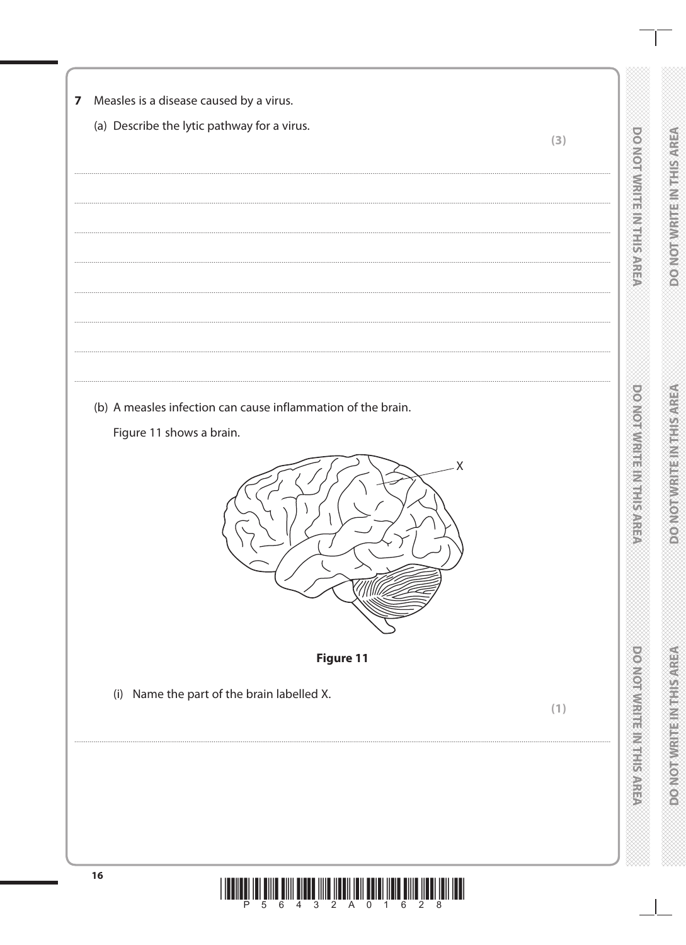| Measles is a disease caused by a virus.<br>$\overline{z}$                                |                                                                       |
|------------------------------------------------------------------------------------------|-----------------------------------------------------------------------|
| (a) Describe the lytic pathway for a virus.<br>(3)                                       | <b>DO NOIA WAS HIS NOTE TO A SARE</b><br><b>ARBA</b><br><b>DOMORA</b> |
| (b) A measles infection can cause inflammation of the brain.<br>Figure 11 shows a brain. | $\overline{8}$<br><b>RAN</b>                                          |
| Figure 11<br>Name the part of the brain labelled X.<br>(i)<br>(1)                        | $\frac{1}{2}$<br><b>THE REAL PROPERTY OF</b>                          |

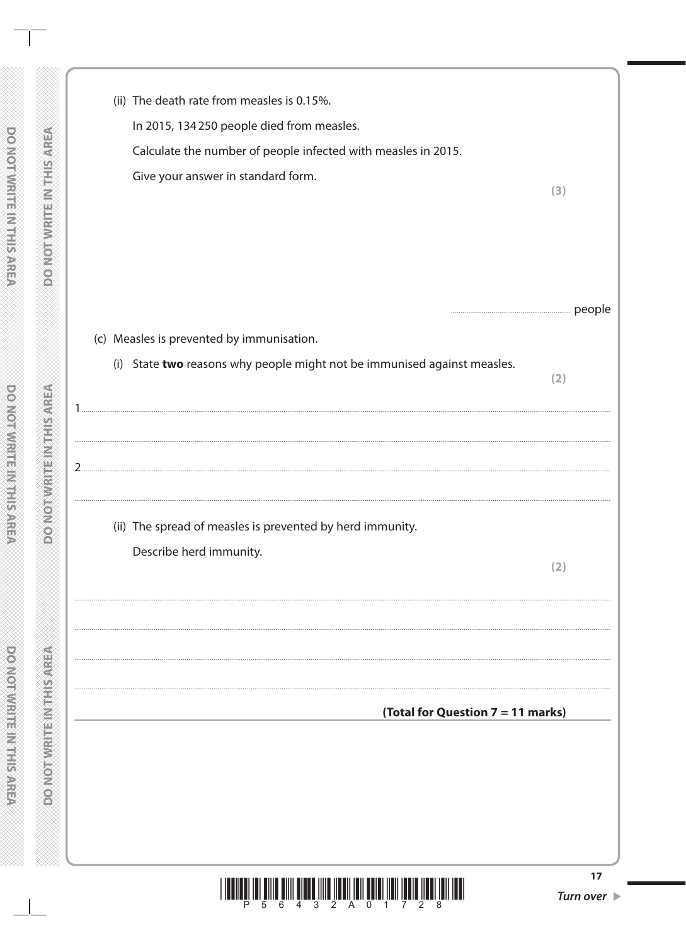|                                                                                                                          | (Total for Question 7 = 11 marks) |
|--------------------------------------------------------------------------------------------------------------------------|-----------------------------------|
|                                                                                                                          |                                   |
| Describe herd immunity.                                                                                                  | (2)                               |
| (ii) The spread of measles is prevented by herd immunity.                                                                |                                   |
| 2                                                                                                                        |                                   |
|                                                                                                                          | (2)                               |
| (c) Measles is prevented by immunisation.<br>State two reasons why people might not be immunised against measles.<br>(i) |                                   |
|                                                                                                                          | e people                          |
|                                                                                                                          | (3)                               |
| Calculate the number of people infected with measles in 2015.<br>Give your answer in standard form.                      |                                   |
| In 2015, 134 250 people died from measles.                                                                               |                                   |
| (ii) The death rate from measles is 0.15%.                                                                               |                                   |

 $\Box\Box$ 

⋙

 $\perp$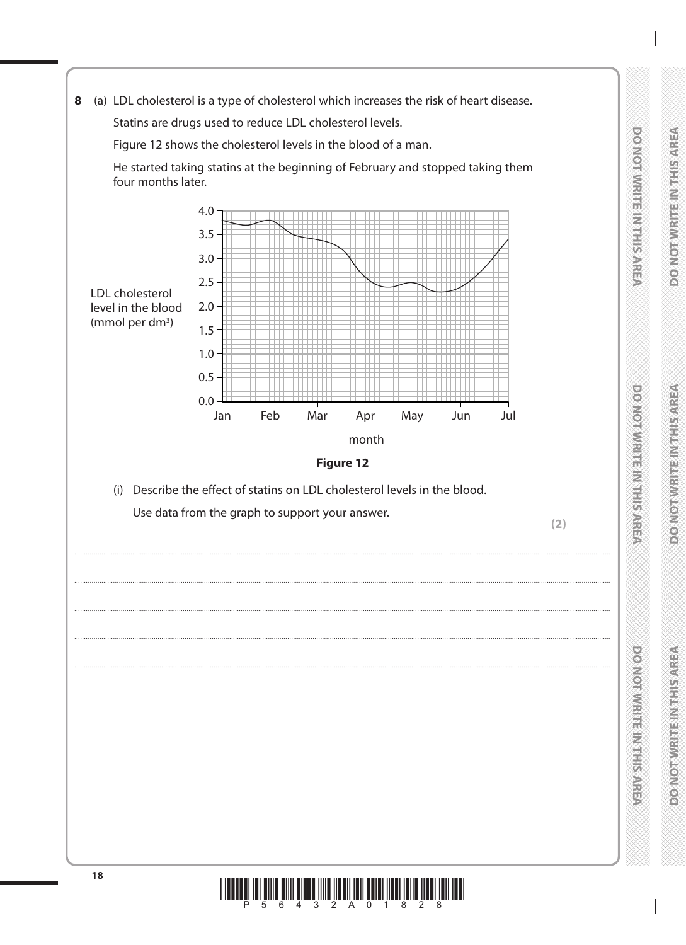

 $2$  A 0 1 8

2 P

 $\overline{6}$  $\overline{4}$  $\overline{3}$ 

 $\overline{5}$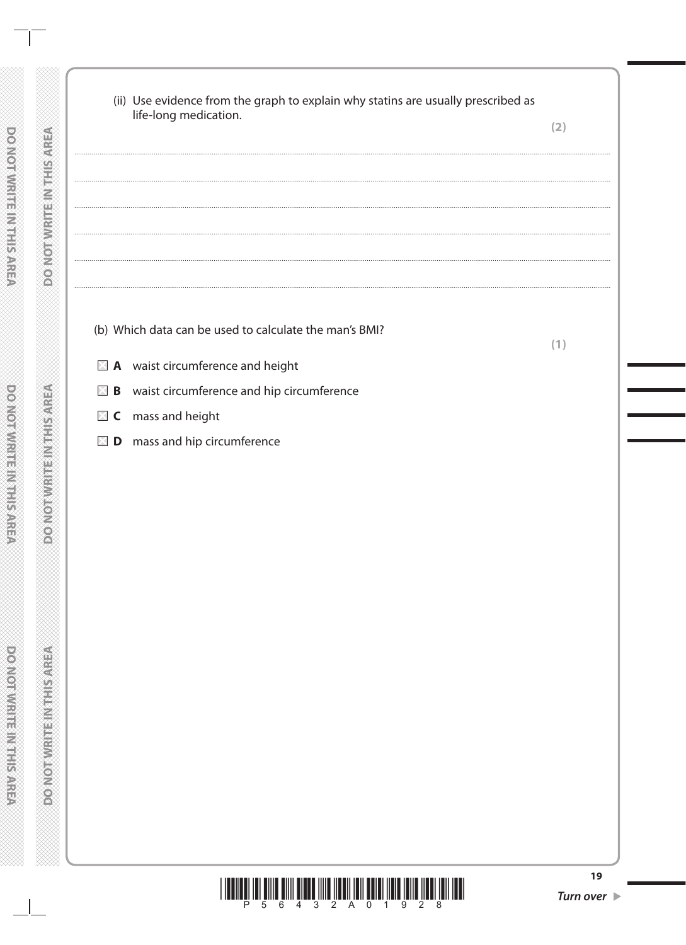| 医足肉                             | (ii) Use evidence from the graph to explain why statins are usually prescribed as<br>life-long medication.                                               | (2)                             |
|---------------------------------|----------------------------------------------------------------------------------------------------------------------------------------------------------|---------------------------------|
| S<br>T<br><b>DO NOTWRITEIN</b>  |                                                                                                                                                          |                                 |
|                                 | (b) Which data can be used to calculate the man's BMI?                                                                                                   | (1)                             |
|                                 | $\blacksquare$ <b>A</b> waist circumference and height                                                                                                   |                                 |
|                                 | $\boxtimes$ <b>B</b> waist circumference and hip circumference                                                                                           |                                 |
|                                 | $\blacksquare$ <b>C</b> mass and height<br>mass and hip circumference<br><b>XD</b>                                                                       |                                 |
|                                 |                                                                                                                                                          |                                 |
| <b>MOTOR RESERVED</b>           |                                                                                                                                                          |                                 |
|                                 |                                                                                                                                                          |                                 |
| $\bullet$                       |                                                                                                                                                          |                                 |
|                                 |                                                                                                                                                          |                                 |
|                                 |                                                                                                                                                          |                                 |
|                                 |                                                                                                                                                          |                                 |
|                                 |                                                                                                                                                          |                                 |
| <b>ASSAUDINATION CONTROLLED</b> |                                                                                                                                                          |                                 |
|                                 |                                                                                                                                                          |                                 |
|                                 |                                                                                                                                                          |                                 |
|                                 |                                                                                                                                                          |                                 |
|                                 |                                                                                                                                                          |                                 |
|                                 |                                                                                                                                                          | 19                              |
|                                 | <u> III III ANNI IIII ANTI III III I</u><br>WW<br>$\overline{A}$<br>5<br>3 <sup>7</sup><br>$2^{\circ}$<br>$\mathbf 0$<br>$2 \quad 8$<br>6<br>4<br>9<br>1 | Turn over $\blacktriangleright$ |

**DOWOTWRITISHIS/AREA** 

▒

DO NOTWRITE IN THIS AREA

 $\overline{\phantom{a}}$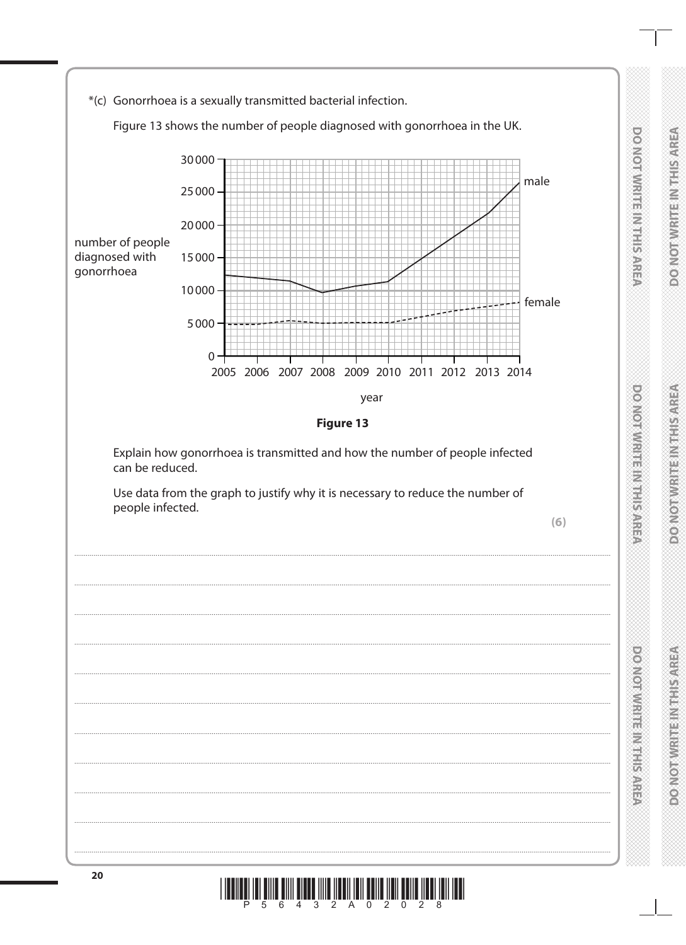

**DO NOTWRITE INTHIS AREA** 

**DOMORATE RESIDENCE** 

**PONORVIER REPORTS NOTE**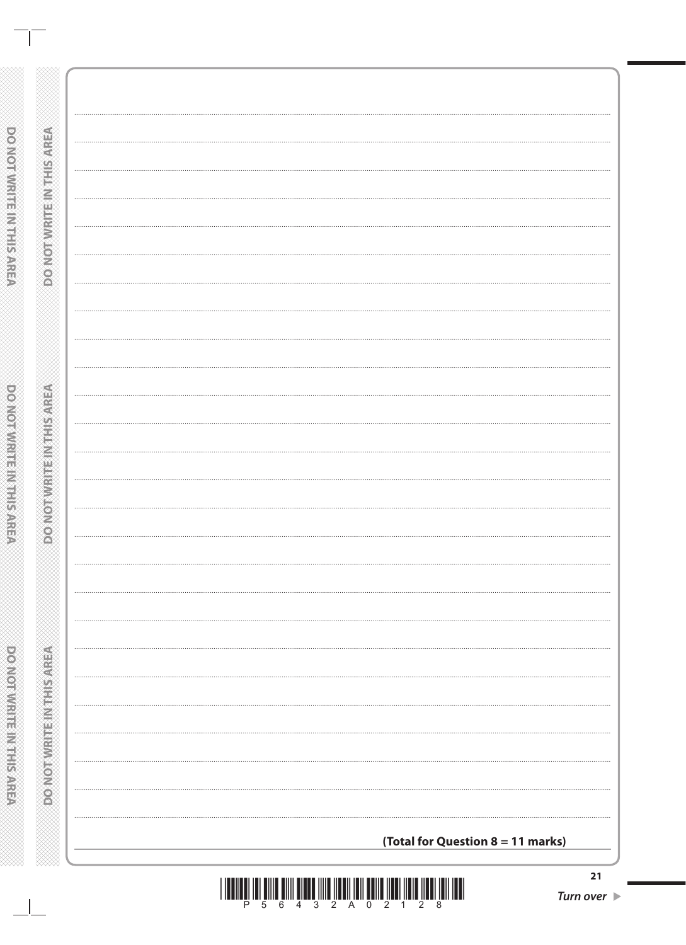| <b>DOMORWINE IN THE SURE</b><br><b>PONOINE IN STATE REPORTS</b> | THISANTA<br><b>DOMOTIVIRITEIN</b><br>Ž |                                         |
|-----------------------------------------------------------------|----------------------------------------|-----------------------------------------|
| E<br>E                                                          |                                        |                                         |
| <b>DOMOTOR IN ESTADA</b>                                        | <b>DONORWRITEIN</b>                    | (Total for Question 8 = 11 marks)<br>21 |

 $\overline{\phantom{a}}$ 

 $\Box$ 

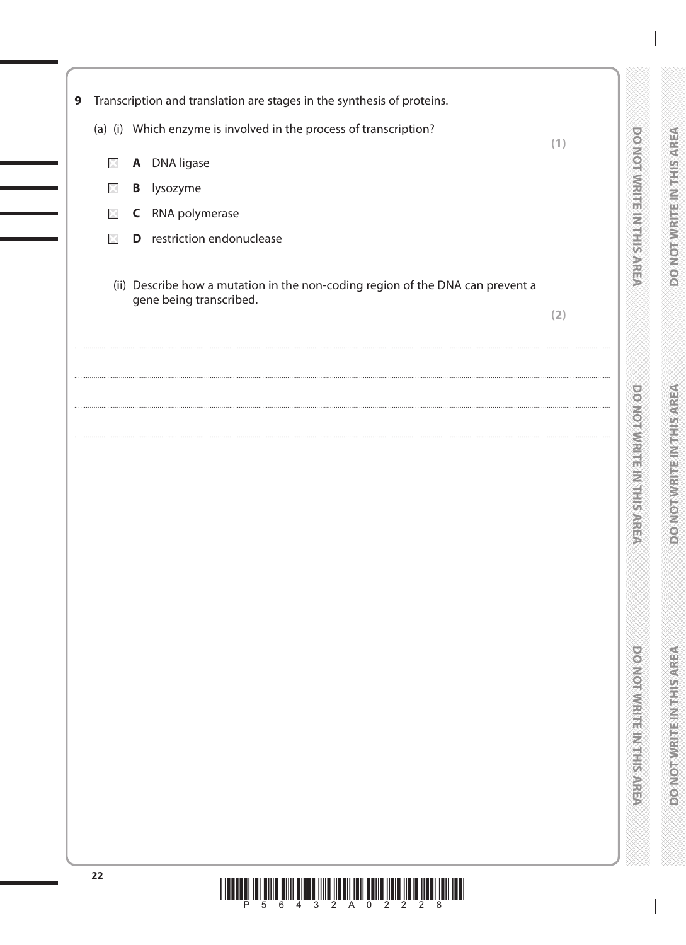| Transcription and translation are stages in the synthesis of proteins.<br>9<br>(a) (i) Which enzyme is involved in the process of transcription?<br><b>DOMORWRITE MATHSARE?</b><br>(1)<br><b>DNA</b> ligase<br>$\boxtimes$<br>A<br>lysozyme<br>B<br>X<br>RNA polymerase<br>$\boxtimes$<br>$\mathsf{C}$<br>restriction endonuclease<br>X<br>D<br>g<br>(ii) Describe how a mutation in the non-coding region of the DNA can prevent a<br>gene being transcribed.<br>(2)<br><b>PONDERN PRESSURE</b><br>es<br>Su<br><b>DOMONDENT REPORT SYSTEM</b><br><b>RESING THE METHODS ONES</b> |
|----------------------------------------------------------------------------------------------------------------------------------------------------------------------------------------------------------------------------------------------------------------------------------------------------------------------------------------------------------------------------------------------------------------------------------------------------------------------------------------------------------------------------------------------------------------------------------|
|                                                                                                                                                                                                                                                                                                                                                                                                                                                                                                                                                                                  |
|                                                                                                                                                                                                                                                                                                                                                                                                                                                                                                                                                                                  |
|                                                                                                                                                                                                                                                                                                                                                                                                                                                                                                                                                                                  |
|                                                                                                                                                                                                                                                                                                                                                                                                                                                                                                                                                                                  |
|                                                                                                                                                                                                                                                                                                                                                                                                                                                                                                                                                                                  |
|                                                                                                                                                                                                                                                                                                                                                                                                                                                                                                                                                                                  |
|                                                                                                                                                                                                                                                                                                                                                                                                                                                                                                                                                                                  |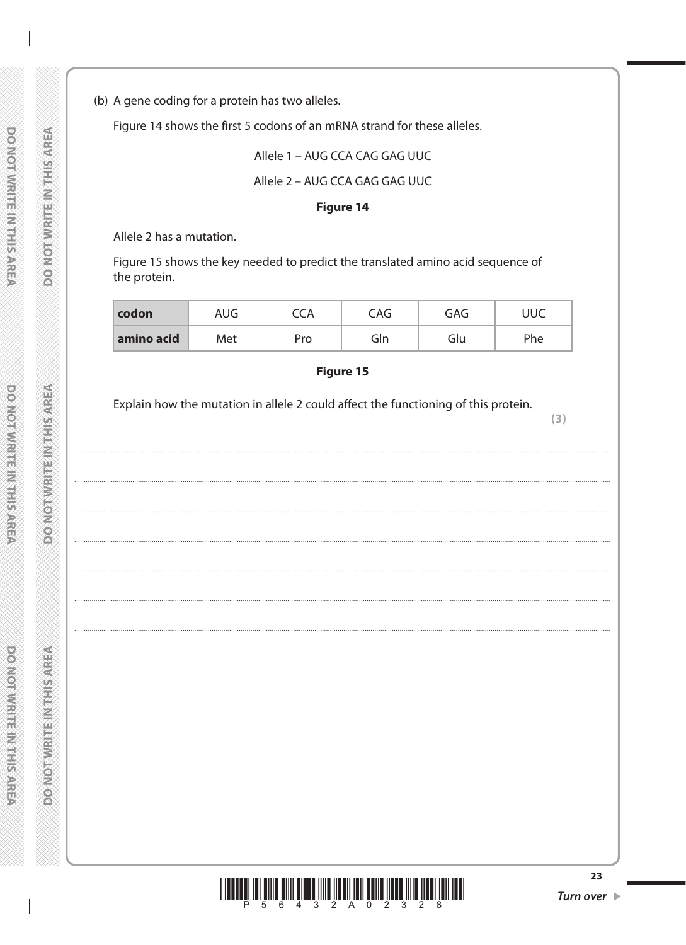(b) A gene coding for a protein has two alleles.

Figure 14 shows the first 5 codons of an mRNA strand for these alleles.

Allele 1 - AUG CCA CAG GAG UUC

Allele 2 - AUG CCA GAG GAG UUC

### **Figure 14**

Allele 2 has a mutation.

Figure 15 shows the key needed to predict the translated amino acid sequence of the protein.

| codon      | <b>AUG</b> |     | CAG | GAG |            |
|------------|------------|-----|-----|-----|------------|
| amino acid | Met        | Pro | Gln | Glu | <u>ንhe</u> |

## **Figure 15**

Explain how the mutation in allele 2 could affect the functioning of this protein.

23

**DO NOTWRITEINIER** 

**DO NOT WRITE IN RHIS AREA** 

**MONOLANG REIGNALOWS**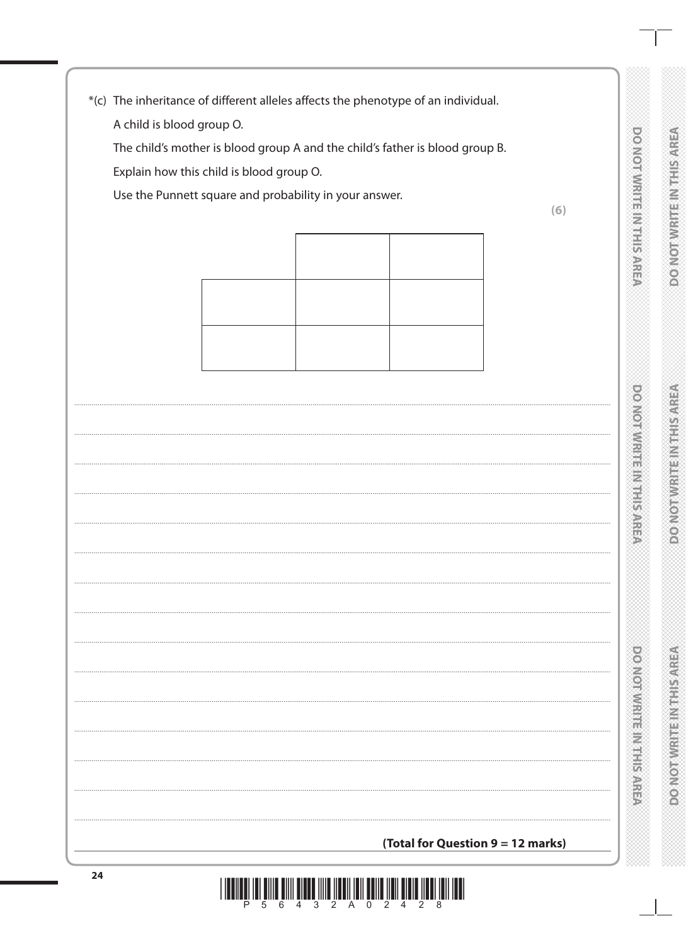\*(c) The inheritance of different alleles affects the phenotype of an individual. A child is blood group O. **DO NOTAWRITE INTERAREA** The child's mother is blood group A and the child's father is blood group B. Explain how this child is blood group O. Use the Punnett square and probability in your answer.  $(6)$ **DOMOTIVE IN STRAIGHT Dowowan International Section** 

**DONOTWRITE INTHISAREA** 

**DOMOTIVE RESIDERS** 

**DOMORAMENTS MARGARET** 

(Total for Question 9 = 12 marks)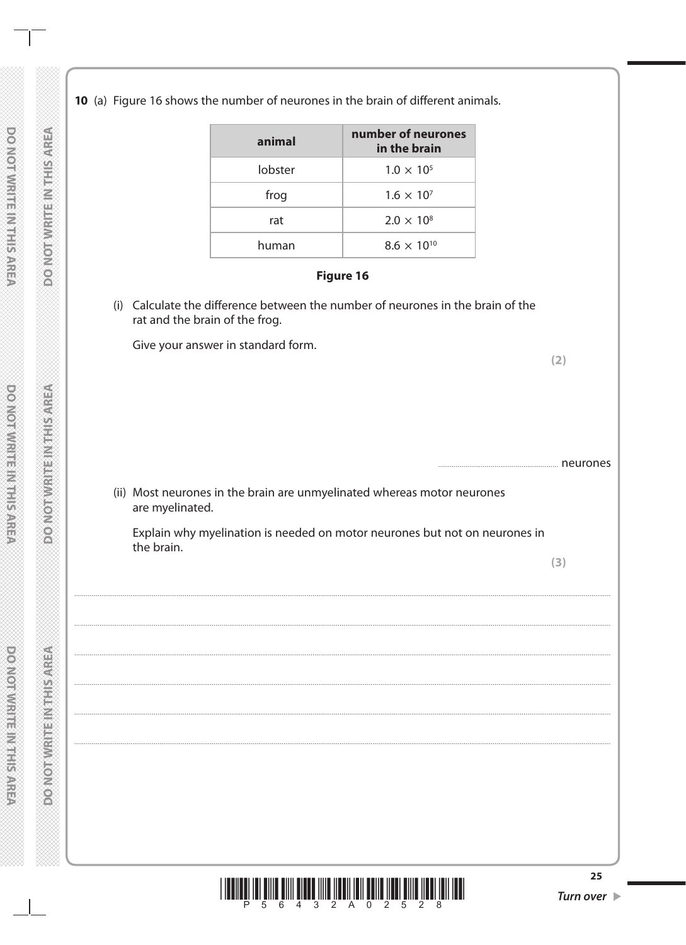|                                | animal                             | number of neurones<br>in the brain                                              |          |
|--------------------------------|------------------------------------|---------------------------------------------------------------------------------|----------|
|                                | lobster                            | $1.0 \times 10^{5}$                                                             |          |
|                                | frog                               | $1.6 \times 10^{7}$                                                             |          |
|                                | rat                                | $2.0 \times 10^8$                                                               |          |
|                                | human                              | $8.6 \times 10^{10}$                                                            |          |
|                                |                                    | Figure 16                                                                       |          |
| rat and the brain of the frog. | Give your answer in standard form. | (i) Calculate the difference between the number of neurones in the brain of the | (2)      |
|                                |                                    |                                                                                 |          |
| are myelinated.                |                                    | (ii) Most neurones in the brain are unmyelinated whereas motor neurones         |          |
| the brain.                     |                                    | Explain why myelination is needed on motor neurones but not on neurones in      |          |
|                                |                                    |                                                                                 | neurones |
|                                |                                    |                                                                                 |          |
|                                |                                    |                                                                                 |          |
|                                |                                    |                                                                                 |          |
|                                |                                    |                                                                                 |          |
|                                |                                    |                                                                                 |          |
|                                |                                    |                                                                                 |          |
|                                |                                    |                                                                                 |          |
|                                |                                    |                                                                                 |          |

 $\mathbb{R}$ 

DO NOT WRITE IN THIS AREA

**DO NOT WRITE IN THIS AREA** 

**DO NOT WRITE IN THIS AREA** 

**DONOTWRITEINTHIS AREA** 

powerwrening were assessed

**DO NOTWRITEINING** 

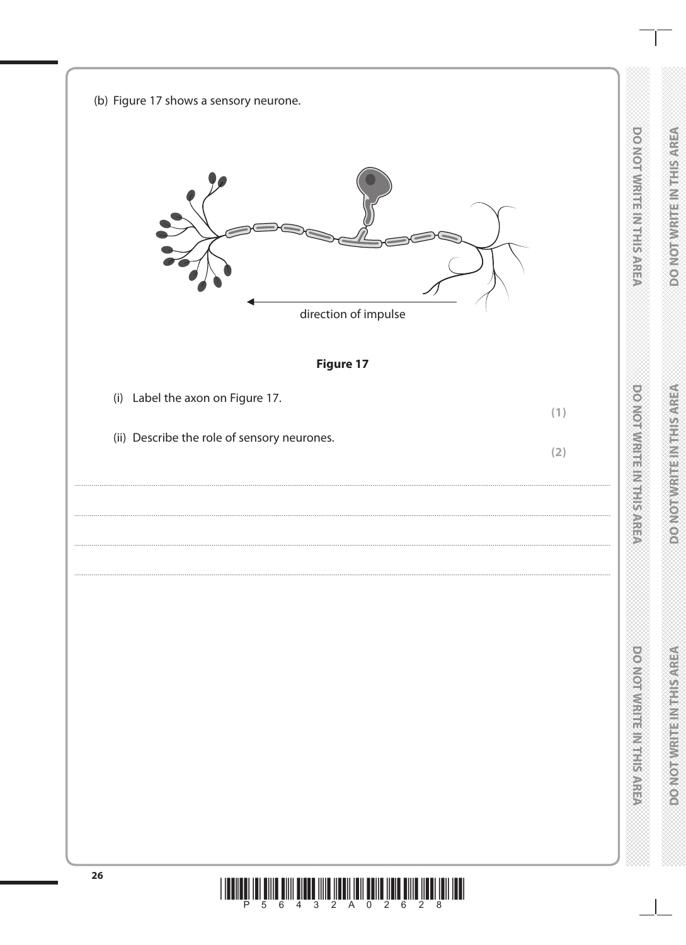

HIII  $2 \times 0 \times 2 \times 8$  $-6$  –  $\frac{1}{4}$  $\overline{3}$ P  $\overline{5}$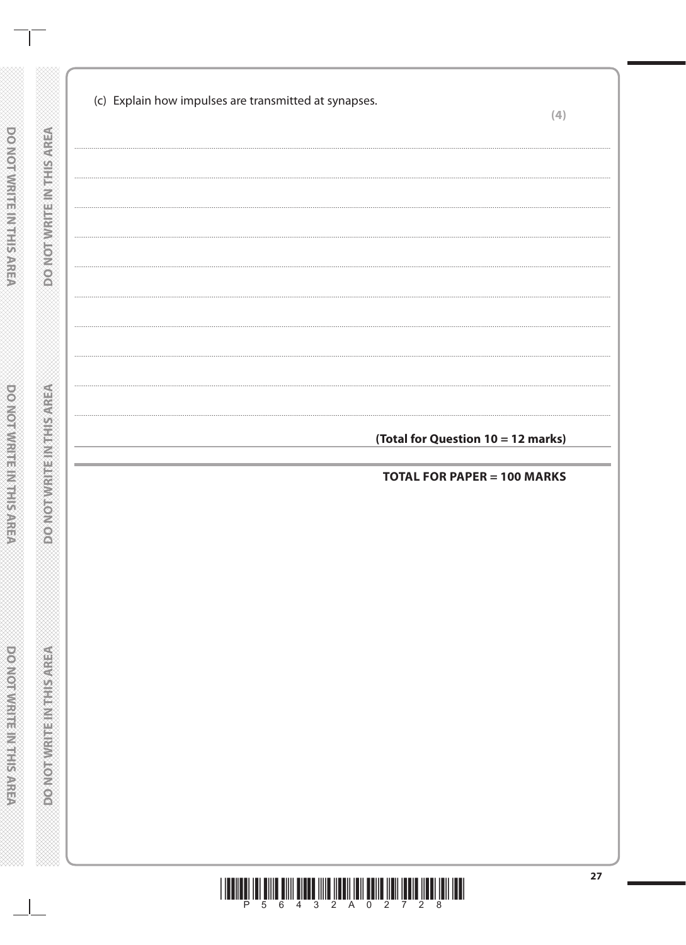| (c) Explain how impulses are transmitted at synapses. | (4)                                |
|-------------------------------------------------------|------------------------------------|
|                                                       |                                    |
|                                                       |                                    |
|                                                       |                                    |
|                                                       |                                    |
|                                                       |                                    |
|                                                       |                                    |
|                                                       |                                    |
|                                                       |                                    |
|                                                       |                                    |
|                                                       | (Total for Question 10 = 12 marks) |
|                                                       | <b>TOTAL FOR PAPER = 100 MARKS</b> |
|                                                       |                                    |
|                                                       |                                    |
|                                                       |                                    |
|                                                       |                                    |
|                                                       |                                    |
|                                                       |                                    |
|                                                       |                                    |
|                                                       |                                    |
|                                                       |                                    |
|                                                       |                                    |
|                                                       |                                    |
|                                                       |                                    |

 $\sim 1$ 

DOMOTWRITE IN THIS AREA

DOOMANNEEMATHISAASA

**DO NOTWRITE IN THE RATER**